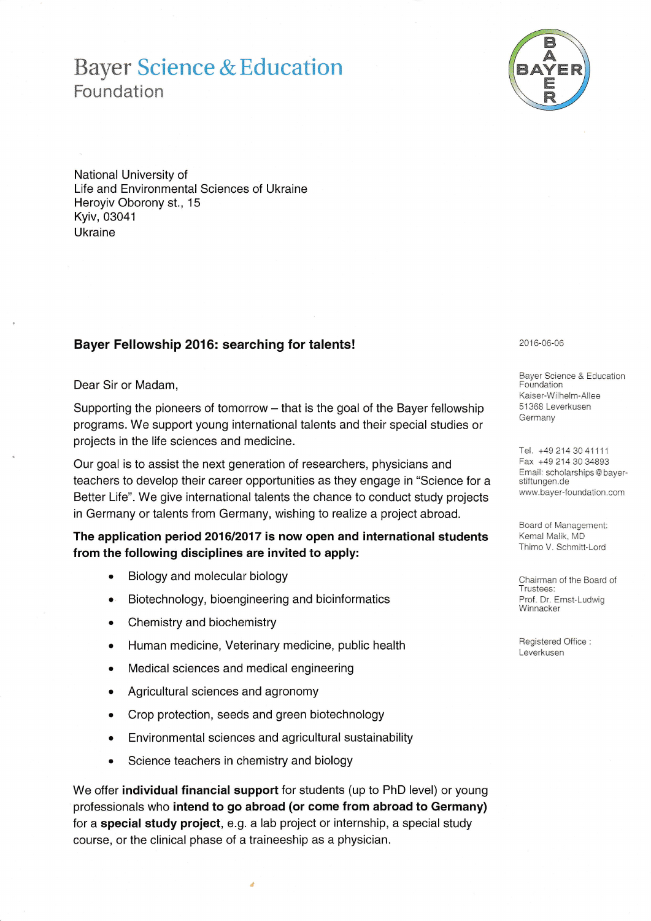# **Bayer Science & Education** Foundation



National University of Life and Environmental Sciences of Ukraine Heroyiv Oborony st., 15 Kyiv, 03041 Ukraine

## Bayer Fellowship 2016: searching for talents!

### Dear Sir or Madam,

Supporting the pioneers of tomorrow - that is the goal of the Bayer fellowship programs. We support young international talents and their special studies or projects in the life sciences and medicine.

Our goal is to assist the next generation of researchers, physicians and teachers to develop their career opportunities as they engage in "Science for a Better Life". We give international talents the chance to conduct study projects in Germany or talents from Germany, wishing to realize a project abroad.

## The application period 2016/2017 is now open and international students from the following disciplines are invited to apply:

- Biology and molecular biology
- Biotechnology, bioengineering and bioinformatics
- Chemistry and biochemistry  $\bullet$
- Human medicine, Veterinary medicine, public health  $\bullet$
- Medical sciences and medical engineering  $\bullet$
- Agricultural sciences and agronomy
- Crop protection, seeds and green biotechnology  $\bullet$
- Environmental sciences and agricultural sustainability  $\bullet$
- Science teachers in chemistry and biology  $\bullet$

We offer individual financial support for students (up to PhD level) or young professionals who intend to go abroad (or come from abroad to Germany) for a special study project, e.g. a lab project or internship, a special study course, or the clinical phase of a traineeship as a physician.

#### 2016-06-06

Bayer Science & Education Foundation Kaiser-Wilhelm-Allee 51368 Leverkusen Germany

Tel. +49 214 30 41111 Fax +49 214 30 34893 Email: scholarships@bayerstiftungen.de www.bayer-foundation.com

Board of Management: Kemal Malik, MD Thimo V. Schmitt-Lord

Chairman of the Board of Trustees: Prof. Dr. Ernst-Ludwig Winnacker

Registered Office: Leverkusen